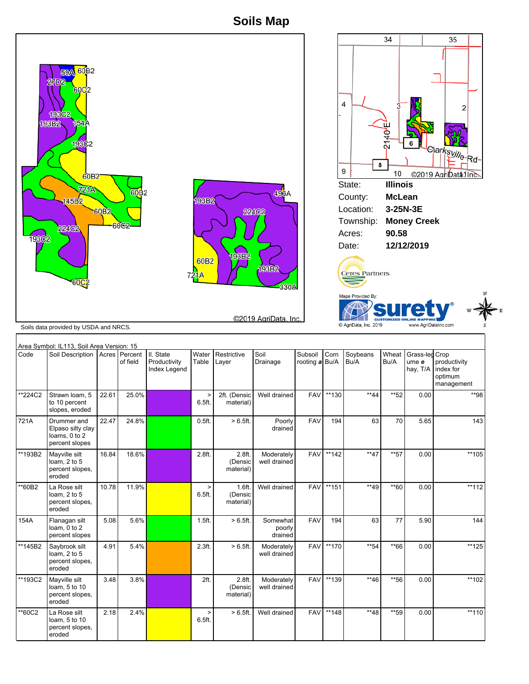## **Soils Map**



| Area Symbol: IL113, Soil Area Version: 15 |                                                                     |       |          |                                                   |                   |                                |                               |                                |         |                  |               |                                     |                                                    |
|-------------------------------------------|---------------------------------------------------------------------|-------|----------|---------------------------------------------------|-------------------|--------------------------------|-------------------------------|--------------------------------|---------|------------------|---------------|-------------------------------------|----------------------------------------------------|
| Code                                      | Soil Description   Acres   Percent                                  |       | of field | III. State<br>Productivity<br><b>Index Legend</b> | Water<br>Table    | Restrictive<br>Layer           | Soil<br>Drainage              | Subsoil Corn<br>rooting a Bu/A |         | Soybeans<br>Bu/A | Wheat<br>Bu/A | Grass-led Crop<br>ume e<br>hay, T/A | productivity<br>index for<br>optimum<br>management |
| *224C2                                    | Strawn Ioam, 5<br>to 10 percent<br>slopes, eroded                   | 22.61 | 25.0%    |                                                   | $\geq$<br>6.5ft.  | 2ft. (Densic<br>material)      | Well drained                  | <b>FAV</b>                     | **130   | $**44$           | $*$ 52        | 0.00                                | **98                                               |
| 721A                                      | Drummer and<br>Elpaso silty clay<br>loams, 0 to 2<br>percent slopes | 22.47 | 24.8%    |                                                   | 0.5 <sub>ft</sub> | > 6.5 ft.                      | Poorly<br>drained             | <b>FAV</b>                     | 194     | 63               | 70            | 5.65                                | 143                                                |
| **193B2                                   | Mayville silt<br>loam, 2 to 5<br>percent slopes,<br>eroded          | 16.84 | 18.6%    |                                                   | 2.8ft.            | 2.8ft.<br>(Densic<br>material) | Moderately<br>well drained    | <b>FAV</b>                     | **142   | $**47$           | $**57$        | 0.00                                | **105                                              |
| **60B2                                    | La Rose silt<br>loam, $2$ to $5$<br>percent slopes,<br>eroded       | 10.78 | 11.9%    |                                                   | $\,>$<br>6.5ft.   | 1.6ft.<br>(Densic<br>material) | Well drained                  | <b>FAV</b>                     | **151   | $**49$           | $*$ 60        | 0.00                                | $**112$                                            |
| 154A                                      | Flanagan silt<br>loam, 0 to 2<br>percent slopes                     | 5.08  | 5.6%     |                                                   | 1.5ft.            | $>6.5$ ft.                     | Somewhat<br>poorly<br>drained | <b>FAV</b>                     | 194     | 63               | 77            | 5.90                                | 144                                                |
| **145B2                                   | Saybrook silt<br>loam, 2 to 5<br>percent slopes,<br>eroded          | 4.91  | 5.4%     |                                                   | 2.3ft.            | > 6.5 ft.                      | Moderately<br>well drained    | <b>FAV</b>                     | **170   | $*$ 54           | $*66$         | 0.00                                | **125                                              |
| **193C2                                   | Mayville silt<br>loam, 5 to 10<br>percent slopes,<br>eroded         | 3.48  | 3.8%     |                                                   | 2ft.              | 2.8ft.<br>(Densic<br>material) | Moderately<br>well drained    | <b>FAV</b>                     | $**139$ | **46             | **56          | 0.00                                | **102                                              |
| **60C2                                    | La Rose silt<br>loam, 5 to 10<br>percent slopes,<br>eroded          | 2.18  | 2.4%     |                                                   | $\,>\,$<br>6.5ft. | $>6.5ft$ .                     | Well drained                  | <b>FAV</b>                     | **148   | $**48$           | **59          | 0.00                                | $**110$                                            |